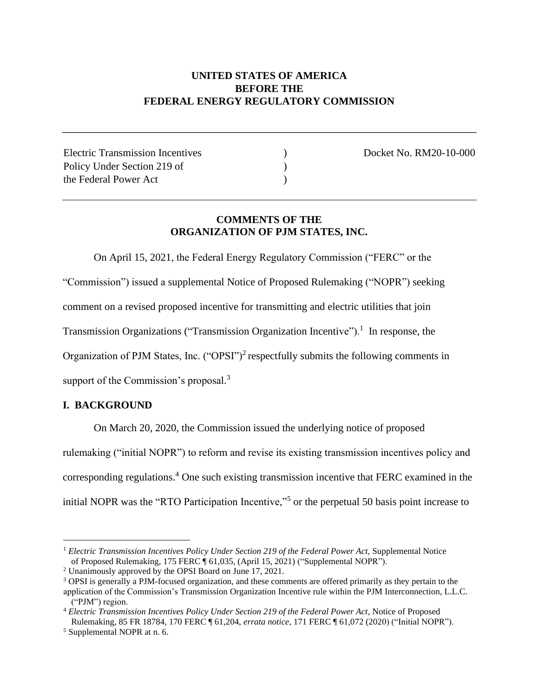## **UNITED STATES OF AMERICA BEFORE THE FEDERAL ENERGY REGULATORY COMMISSION**

Electric Transmission Incentives (and Contract Contract Contract No. RM20-10-000) Policy Under Section 219 of (1) the Federal Power Act (a)

# **COMMENTS OF THE ORGANIZATION OF PJM STATES, INC.**

On April 15, 2021, the Federal Energy Regulatory Commission ("FERC" or the "Commission") issued a supplemental Notice of Proposed Rulemaking ("NOPR") seeking

comment on a revised proposed incentive for transmitting and electric utilities that join

Transmission Organizations ("Transmission Organization Incentive").<sup>1</sup> In response, the

Organization of PJM States, Inc.  $("OPSI")^2$  respectfully submits the following comments in

support of the Commission's proposal.<sup>3</sup>

## **I. BACKGROUND**

On March 20, 2020, the Commission issued the underlying notice of proposed rulemaking ("initial NOPR") to reform and revise its existing transmission incentives policy and corresponding regulations.<sup>4</sup> One such existing transmission incentive that FERC examined in the initial NOPR was the "RTO Participation Incentive,"<sup>5</sup> or the perpetual 50 basis point increase to

<sup>&</sup>lt;sup>1</sup> Electric Transmission Incentives Policy Under Section 219 of the Federal Power Act, Supplemental Notice of Proposed Rulemaking, 175 FERC ¶ 61,035, (April 15, 2021) ("Supplemental NOPR").

<sup>2</sup> Unanimously approved by the OPSI Board on June 17, 2021.

<sup>3</sup> OPSI is generally a PJM-focused organization, and these comments are offered primarily as they pertain to the application of the Commission's Transmission Organization Incentive rule within the PJM Interconnection, L.L.C. ("PJM") region.

<sup>4</sup> *Electric Transmission Incentives Policy Under Section 219 of the Federal Power Act*, Notice of Proposed Rulemaking, 85 FR 18784, 170 FERC ¶ 61,204, *errata notice*, 171 FERC ¶ 61,072 (2020) ("Initial NOPR").

<sup>5</sup> Supplemental NOPR at n. 6.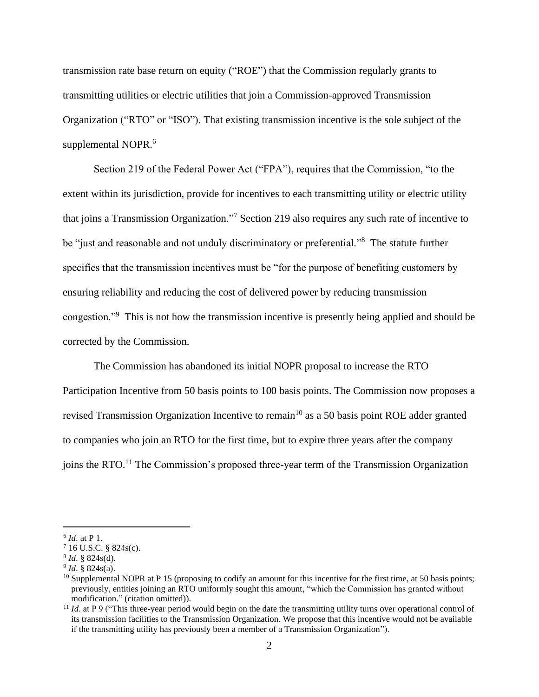transmission rate base return on equity ("ROE") that the Commission regularly grants to transmitting utilities or electric utilities that join a Commission-approved Transmission Organization ("RTO" or "ISO"). That existing transmission incentive is the sole subject of the supplemental NOPR.<sup>6</sup>

Section 219 of the Federal Power Act ("FPA"), requires that the Commission, "to the extent within its jurisdiction, provide for incentives to each transmitting utility or electric utility that joins a Transmission Organization."<sup>7</sup> Section 219 also requires any such rate of incentive to be "just and reasonable and not unduly discriminatory or preferential."<sup>8</sup> The statute further specifies that the transmission incentives must be "for the purpose of benefiting customers by ensuring reliability and reducing the cost of delivered power by reducing transmission congestion."<sup>9</sup> This is not how the transmission incentive is presently being applied and should be corrected by the Commission.

The Commission has abandoned its initial NOPR proposal to increase the RTO Participation Incentive from 50 basis points to 100 basis points. The Commission now proposes a revised Transmission Organization Incentive to remain<sup>10</sup> as a 50 basis point ROE adder granted to companies who join an RTO for the first time, but to expire three years after the company joins the RTO.<sup>11</sup> The Commission's proposed three-year term of the Transmission Organization

<sup>6</sup> *Id*. at P 1.

 $716$  U.S.C. § 824s(c).

<sup>8</sup> *Id*. § 824s(d).

<sup>9</sup> *Id*. § 824s(a).

 $10$  Supplemental NOPR at P 15 (proposing to codify an amount for this incentive for the first time, at 50 basis points; previously, entities joining an RTO uniformly sought this amount, "which the Commission has granted without modification." (citation omitted)).

<sup>&</sup>lt;sup>11</sup> *Id.* at P 9 ("This three-year period would begin on the date the transmitting utility turns over operational control of its transmission facilities to the Transmission Organization. We propose that this incentive would not be available if the transmitting utility has previously been a member of a Transmission Organization").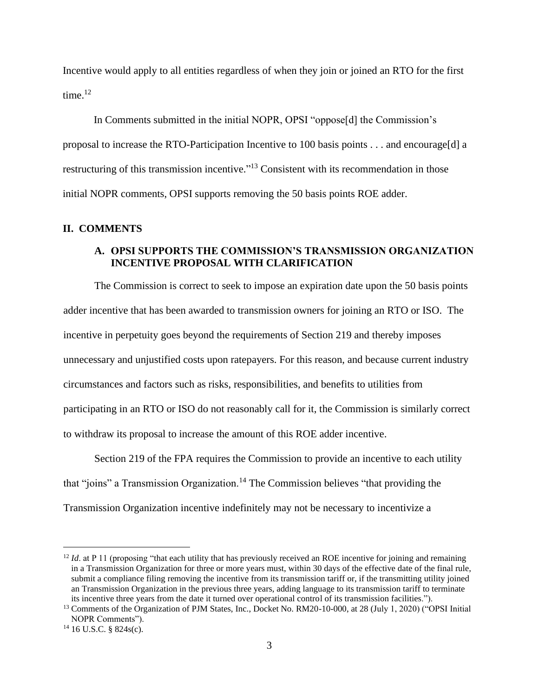Incentive would apply to all entities regardless of when they join or joined an RTO for the first time.<sup>12</sup>

In Comments submitted in the initial NOPR, OPSI "oppose[d] the Commission's proposal to increase the RTO-Participation Incentive to 100 basis points . . . and encourage[d] a restructuring of this transmission incentive."<sup>13</sup> Consistent with its recommendation in those initial NOPR comments, OPSI supports removing the 50 basis points ROE adder.

#### **II. COMMENTS**

### **A. OPSI SUPPORTS THE COMMISSION'S TRANSMISSION ORGANIZATION INCENTIVE PROPOSAL WITH CLARIFICATION**

The Commission is correct to seek to impose an expiration date upon the 50 basis points adder incentive that has been awarded to transmission owners for joining an RTO or ISO. The incentive in perpetuity goes beyond the requirements of Section 219 and thereby imposes unnecessary and unjustified costs upon ratepayers. For this reason, and because current industry circumstances and factors such as risks, responsibilities, and benefits to utilities from participating in an RTO or ISO do not reasonably call for it, the Commission is similarly correct to withdraw its proposal to increase the amount of this ROE adder incentive.

Section 219 of the FPA requires the Commission to provide an incentive to each utility that "joins" a Transmission Organization.<sup>14</sup> The Commission believes "that providing the Transmission Organization incentive indefinitely may not be necessary to incentivize a

 $12$  *Id.* at P 11 (proposing "that each utility that has previously received an ROE incentive for joining and remaining in a Transmission Organization for three or more years must, within 30 days of the effective date of the final rule, submit a compliance filing removing the incentive from its transmission tariff or, if the transmitting utility joined an Transmission Organization in the previous three years, adding language to its transmission tariff to terminate its incentive three years from the date it turned over operational control of its transmission facilities.").

<sup>&</sup>lt;sup>13</sup> Comments of the Organization of PJM States, Inc., Docket No. RM20-10-000, at 28 (July 1, 2020) ("OPSI Initial NOPR Comments").

 $14$  16 U.S.C. § 824s(c).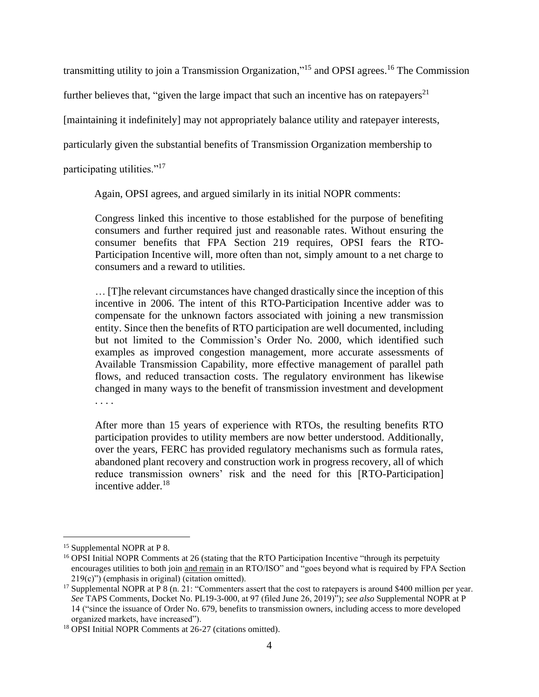transmitting utility to join a Transmission Organization,"<sup>15</sup> and OPSI agrees.<sup>16</sup> The Commission

further believes that, "given the large impact that such an incentive has on ratepayers<sup>21</sup>

[maintaining it indefinitely] may not appropriately balance utility and ratepayer interests,

particularly given the substantial benefits of Transmission Organization membership to

participating utilities."<sup>17</sup>

Again, OPSI agrees, and argued similarly in its initial NOPR comments:

Congress linked this incentive to those established for the purpose of benefiting consumers and further required just and reasonable rates. Without ensuring the consumer benefits that FPA Section 219 requires, OPSI fears the RTO-Participation Incentive will, more often than not, simply amount to a net charge to consumers and a reward to utilities.

… [T]he relevant circumstances have changed drastically since the inception of this incentive in 2006. The intent of this RTO-Participation Incentive adder was to compensate for the unknown factors associated with joining a new transmission entity. Since then the benefits of RTO participation are well documented, including but not limited to the Commission's Order No. 2000, which identified such examples as improved congestion management, more accurate assessments of Available Transmission Capability, more effective management of parallel path flows, and reduced transaction costs. The regulatory environment has likewise changed in many ways to the benefit of transmission investment and development . . . .

After more than 15 years of experience with RTOs, the resulting benefits RTO participation provides to utility members are now better understood. Additionally, over the years, FERC has provided regulatory mechanisms such as formula rates, abandoned plant recovery and construction work in progress recovery, all of which reduce transmission owners' risk and the need for this [RTO-Participation] incentive adder.<sup>18</sup>

<sup>15</sup> Supplemental NOPR at P 8.

<sup>&</sup>lt;sup>16</sup> OPSI Initial NOPR Comments at 26 (stating that the RTO Participation Incentive "through its perpetuity encourages utilities to both join and remain in an RTO/ISO" and "goes beyond what is required by FPA Section 219(c)") (emphasis in original) (citation omitted).

<sup>&</sup>lt;sup>17</sup> Supplemental NOPR at P 8 (n. 21: "Commenters assert that the cost to ratepayers is around \$400 million per year. *See* TAPS Comments, Docket No. PL19-3-000, at 97 (filed June 26, 2019)"); *see also* Supplemental NOPR at P 14 ("since the issuance of Order No. 679, benefits to transmission owners, including access to more developed organized markets, have increased").

<sup>18</sup> OPSI Initial NOPR Comments at 26-27 (citations omitted).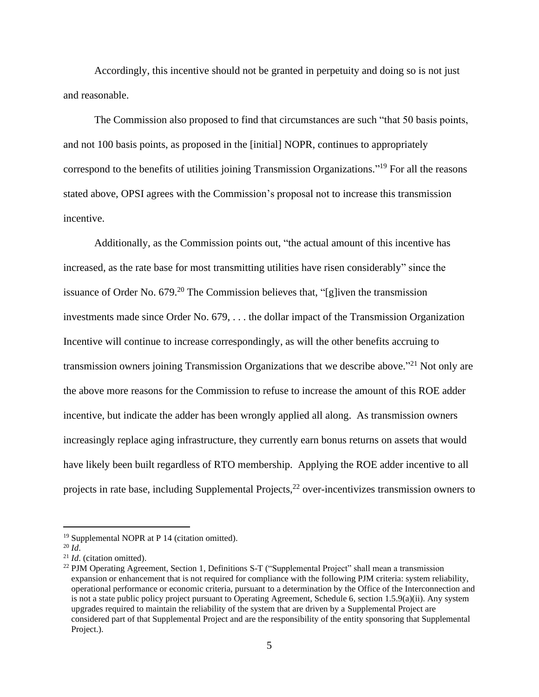Accordingly, this incentive should not be granted in perpetuity and doing so is not just and reasonable.

The Commission also proposed to find that circumstances are such "that 50 basis points, and not 100 basis points, as proposed in the [initial] NOPR, continues to appropriately correspond to the benefits of utilities joining Transmission Organizations." <sup>19</sup> For all the reasons stated above, OPSI agrees with the Commission's proposal not to increase this transmission incentive.

Additionally, as the Commission points out, "the actual amount of this incentive has increased, as the rate base for most transmitting utilities have risen considerably" since the issuance of Order No.  $679<sup>20</sup>$  The Commission believes that, "[g]iven the transmission investments made since Order No. 679, . . . the dollar impact of the Transmission Organization Incentive will continue to increase correspondingly, as will the other benefits accruing to transmission owners joining Transmission Organizations that we describe above."<sup>21</sup> Not only are the above more reasons for the Commission to refuse to increase the amount of this ROE adder incentive, but indicate the adder has been wrongly applied all along. As transmission owners increasingly replace aging infrastructure, they currently earn bonus returns on assets that would have likely been built regardless of RTO membership. Applying the ROE adder incentive to all projects in rate base, including Supplemental Projects,<sup>22</sup> over-incentivizes transmission owners to

<sup>19</sup> Supplemental NOPR at P 14 (citation omitted).

 $^{20}$  *Id*.

<sup>21</sup> *Id*. (citation omitted).

<sup>&</sup>lt;sup>22</sup> PJM Operating Agreement, Section 1, Definitions S-T ("Supplemental Project" shall mean a transmission expansion or enhancement that is not required for compliance with the following PJM criteria: system reliability, operational performance or economic criteria, pursuant to a determination by the Office of the Interconnection and is not a state public policy project pursuant to Operating Agreement, Schedule 6, section 1.5.9(a)(ii). Any system upgrades required to maintain the reliability of the system that are driven by a Supplemental Project are considered part of that Supplemental Project and are the responsibility of the entity sponsoring that Supplemental Project.).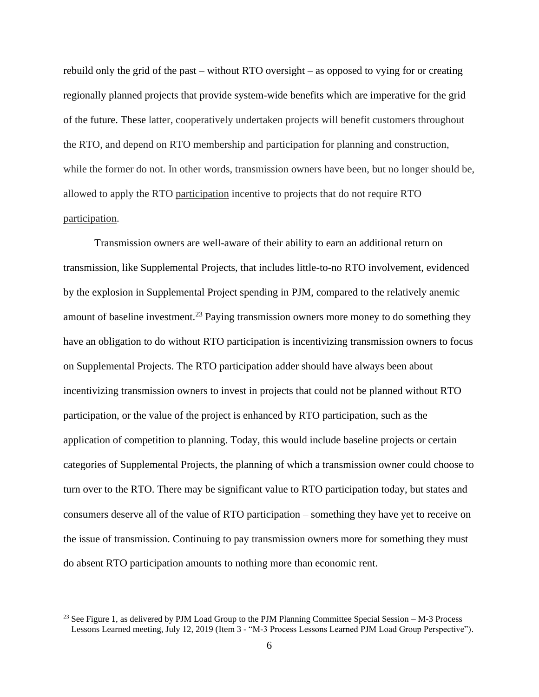rebuild only the grid of the past – without RTO oversight – as opposed to vying for or creating regionally planned projects that provide system-wide benefits which are imperative for the grid of the future. These latter, cooperatively undertaken projects will benefit customers throughout the RTO, and depend on RTO membership and participation for planning and construction, while the former do not. In other words, transmission owners have been, but no longer should be, allowed to apply the RTO participation incentive to projects that do not require RTO participation.

Transmission owners are well-aware of their ability to earn an additional return on transmission, like Supplemental Projects, that includes little-to-no RTO involvement, evidenced by the explosion in Supplemental Project spending in PJM, compared to the relatively anemic amount of baseline investment.<sup>23</sup> Paying transmission owners more money to do something they have an obligation to do without RTO participation is incentivizing transmission owners to focus on Supplemental Projects. The RTO participation adder should have always been about incentivizing transmission owners to invest in projects that could not be planned without RTO participation, or the value of the project is enhanced by RTO participation, such as the application of competition to planning. Today, this would include baseline projects or certain categories of Supplemental Projects, the planning of which a transmission owner could choose to turn over to the RTO. There may be significant value to RTO participation today, but states and consumers deserve all of the value of RTO participation – something they have yet to receive on the issue of transmission. Continuing to pay transmission owners more for something they must do absent RTO participation amounts to nothing more than economic rent.

<sup>&</sup>lt;sup>23</sup> See Figure 1, as delivered by PJM Load Group to the PJM Planning Committee Special Session  $-M-3$  Process Lessons Learned meeting, July 12, 2019 (Item 3 - "M-3 Process Lessons Learned PJM Load Group Perspective").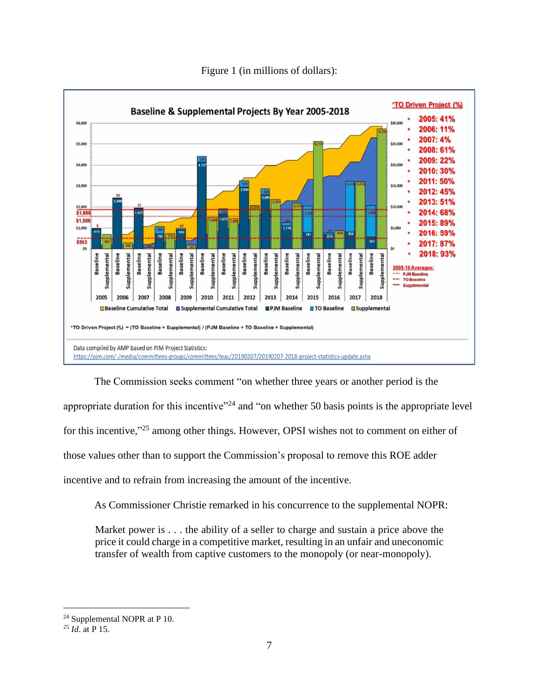

Figure 1 (in millions of dollars):

The Commission seeks comment "on whether three years or another period is the appropriate duration for this incentive"<sup>24</sup> and "on whether 50 basis points is the appropriate level for this incentive,"<sup>25</sup> among other things. However, OPSI wishes not to comment on either of those values other than to support the Commission's proposal to remove this ROE adder incentive and to refrain from increasing the amount of the incentive.

As Commissioner Christie remarked in his concurrence to the supplemental NOPR:

Market power is . . . the ability of a seller to charge and sustain a price above the price it could charge in a competitive market, resulting in an unfair and uneconomic transfer of wealth from captive customers to the monopoly (or near-monopoly).

<sup>24</sup> Supplemental NOPR at P 10.

<sup>25</sup> *Id*. at P 15.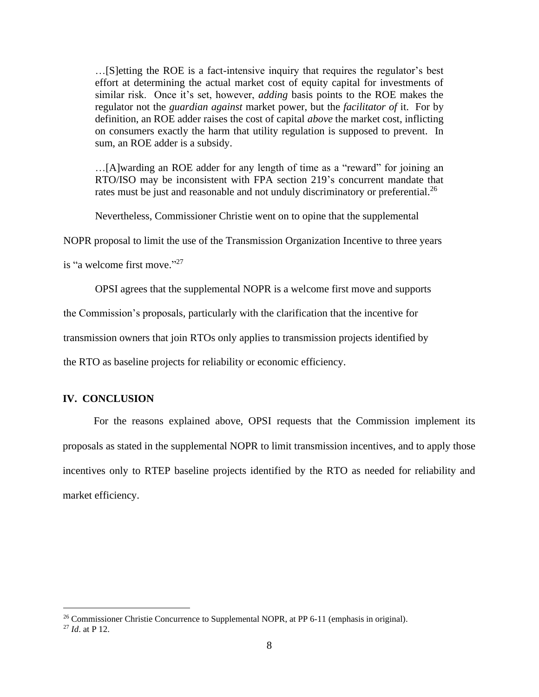…[S]etting the ROE is a fact-intensive inquiry that requires the regulator's best effort at determining the actual market cost of equity capital for investments of similar risk. Once it's set, however, *adding* basis points to the ROE makes the regulator not the *guardian against* market power, but the *facilitator of* it. For by definition, an ROE adder raises the cost of capital *above* the market cost, inflicting on consumers exactly the harm that utility regulation is supposed to prevent. In sum, an ROE adder is a subsidy.

…[A]warding an ROE adder for any length of time as a "reward" for joining an RTO/ISO may be inconsistent with FPA section 219's concurrent mandate that rates must be just and reasonable and not unduly discriminatory or preferential.<sup>26</sup>

Nevertheless, Commissioner Christie went on to opine that the supplemental

NOPR proposal to limit the use of the Transmission Organization Incentive to three years

is "a welcome first move."<sup>27</sup>

OPSI agrees that the supplemental NOPR is a welcome first move and supports

the Commission's proposals, particularly with the clarification that the incentive for

transmission owners that join RTOs only applies to transmission projects identified by

the RTO as baseline projects for reliability or economic efficiency.

#### **IV. CONCLUSION**

For the reasons explained above, OPSI requests that the Commission implement its proposals as stated in the supplemental NOPR to limit transmission incentives, and to apply those incentives only to RTEP baseline projects identified by the RTO as needed for reliability and market efficiency.

<sup>&</sup>lt;sup>26</sup> Commissioner Christie Concurrence to Supplemental NOPR, at PP 6-11 (emphasis in original).

<sup>27</sup> *Id*. at P 12.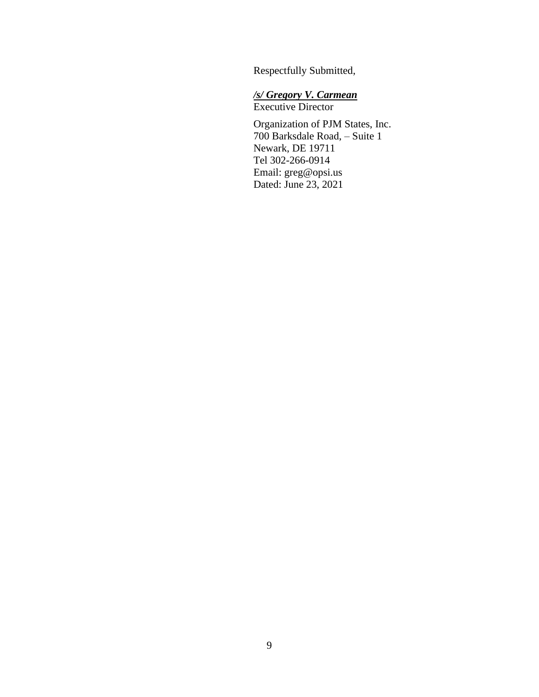Respectfully Submitted,

# */s/ Gregory V. Carmean*

Executive Director

Organization of PJM States, Inc. 700 Barksdale Road, – Suite 1 Newark, DE 19711 Tel 302-266-0914 Email: greg@opsi.us Dated: June 23, 2021